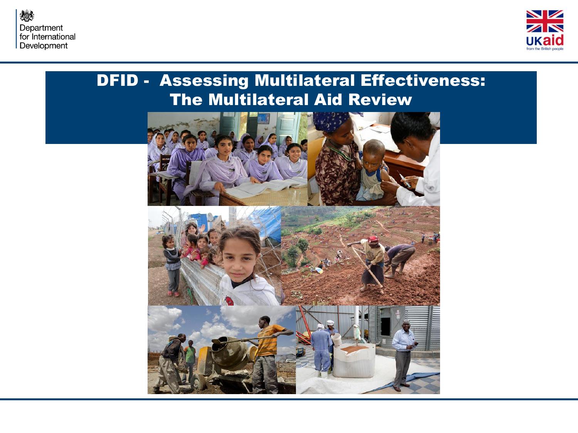



#### DFID - Assessing Multilateral Effectiveness: The Multilateral Aid Review

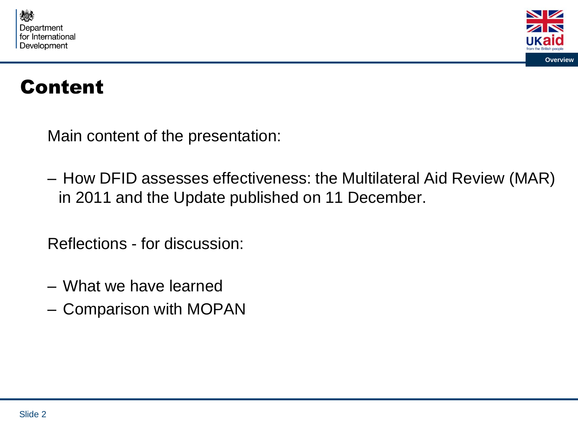



# Content

Main content of the presentation:

– How DFID assesses effectiveness: the Multilateral Aid Review (MAR) in 2011 and the Update published on 11 December.

Reflections - for discussion:

- What we have learned
- Comparison with MOPAN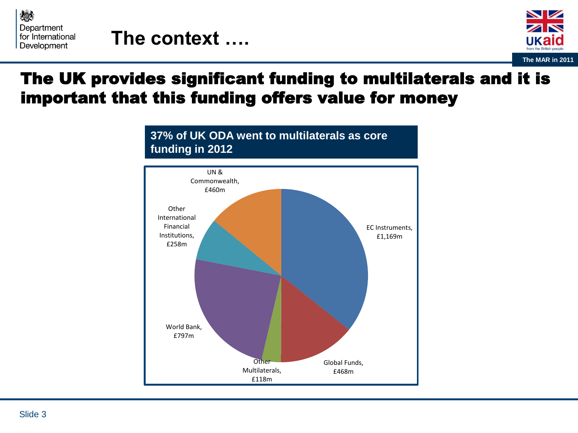

# **The context ….**



### The UK provides significant funding to multilaterals and it is important that this funding offers value for money

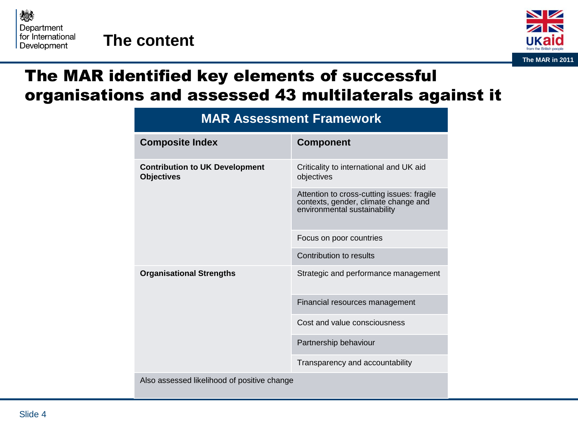



### The MAR identified key elements of successful organisations and assessed 43 multilaterals against it

| <b>MAR Assessment Framework</b>                            |                                                                                                                    |
|------------------------------------------------------------|--------------------------------------------------------------------------------------------------------------------|
| <b>Composite Index</b>                                     | <b>Component</b>                                                                                                   |
| <b>Contribution to UK Development</b><br><b>Objectives</b> | Criticality to international and UK aid<br>objectives                                                              |
|                                                            | Attention to cross-cutting issues: fragile<br>contexts, gender, climate change and<br>environmental sustainability |
|                                                            | Focus on poor countries                                                                                            |
|                                                            | Contribution to results                                                                                            |
| <b>Organisational Strengths</b>                            | Strategic and performance management                                                                               |
|                                                            | Financial resources management                                                                                     |
|                                                            | Cost and value consciousness                                                                                       |
|                                                            | Partnership behaviour                                                                                              |
|                                                            | Transparency and accountability                                                                                    |
| Also assessed likelihood of positive change                |                                                                                                                    |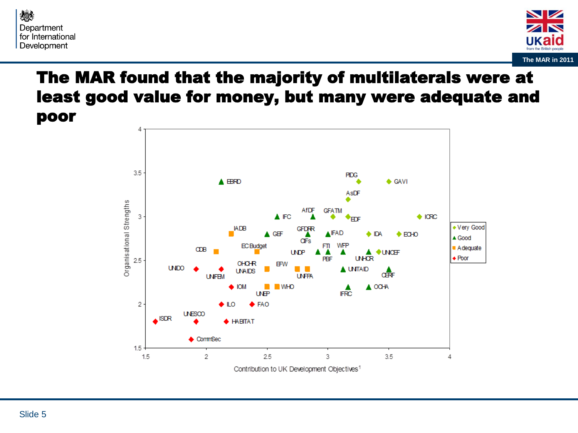



### The MAR found that the majority of multilaterals were at least good value for money, but many were adequate and poor

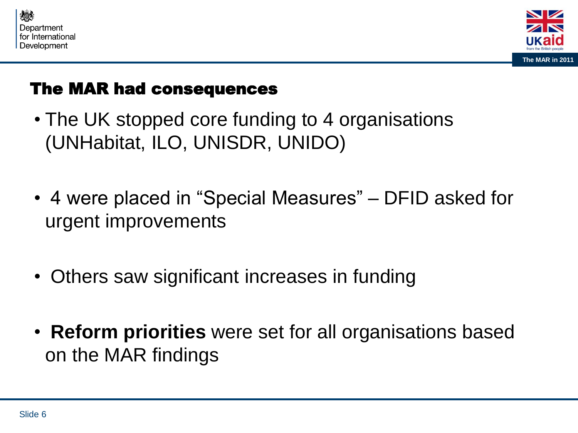



## The MAR had consequences

- The UK stopped core funding to 4 organisations (UNHabitat, ILO, UNISDR, UNIDO)
- 4 were placed in "Special Measures" DFID asked for urgent improvements
- Others saw significant increases in funding
- **Reform priorities** were set for all organisations based on the MAR findings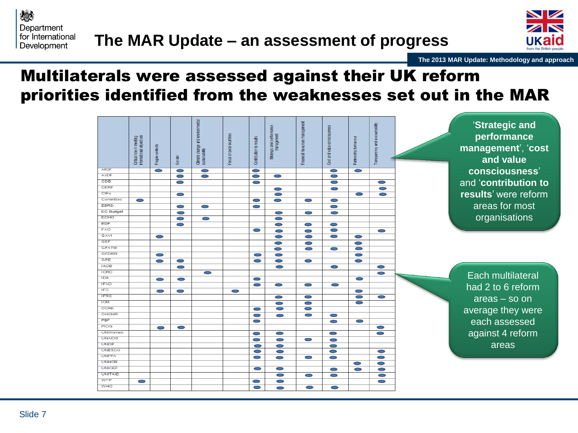



**The 2013 MAR Update: Methodology and approach**

#### Multilaterals were assessed against their UK reform priorities identified from the weaknesses set out in the MAR

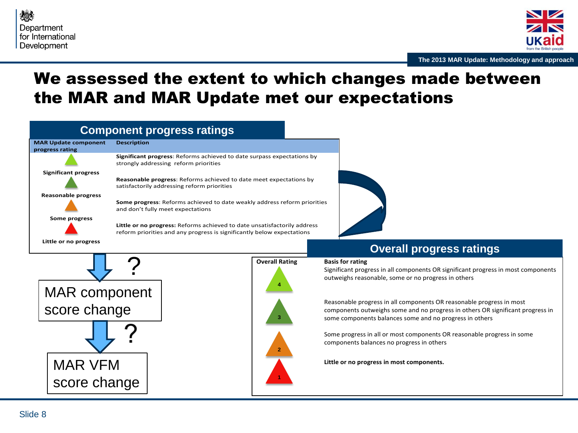



#### We assessed the extent to which changes made between the MAR and MAR Update met our expectations

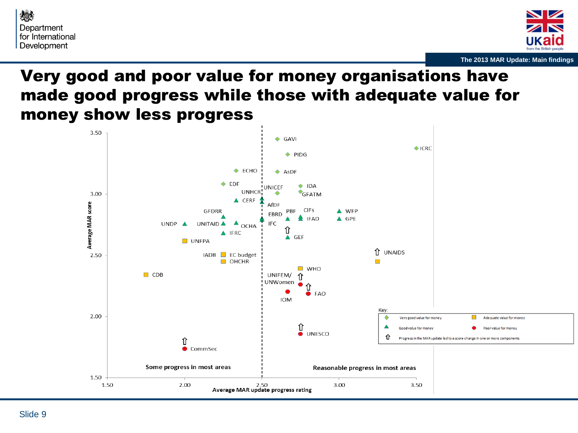



### Very good and poor value for money organisations have made good progress while those with adequate value for money show less progress

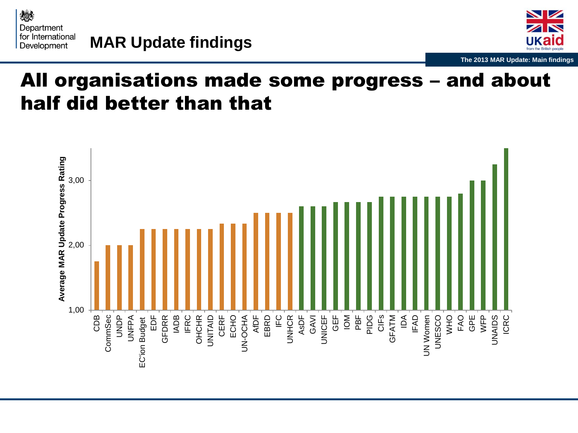



# All organisations made some progress – and about half did better than that

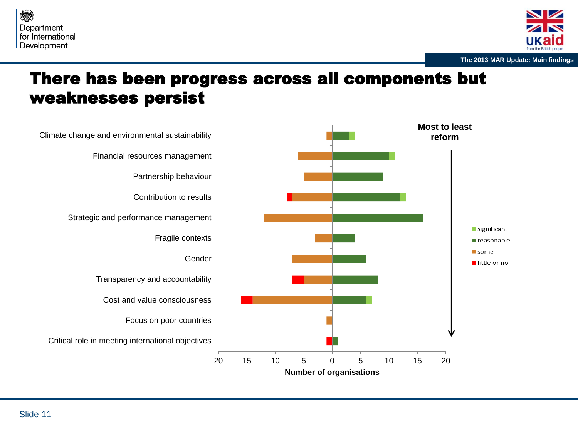



#### There has been progress across all components but weaknesses persist

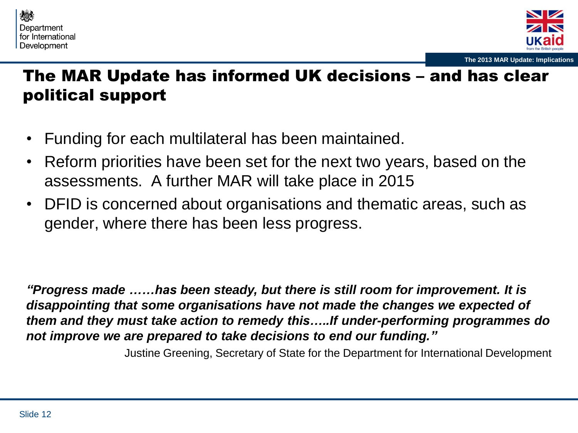



## The MAR Update has informed UK decisions – and has clear political support

- Funding for each multilateral has been maintained.
- Reform priorities have been set for the next two years, based on the assessments. A further MAR will take place in 2015
- DFID is concerned about organisations and thematic areas, such as gender, where there has been less progress.

*"Progress made ……has been steady, but there is still room for improvement. It is disappointing that some organisations have not made the changes we expected of them and they must take action to remedy this…..If under-performing programmes do not improve we are prepared to take decisions to end our funding."* 

Justine Greening, Secretary of State for the Department for International Development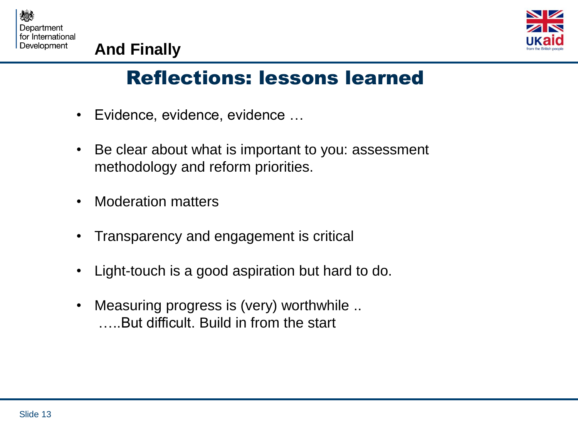



# **And Finally**

# Reflections: lessons learned

- Evidence, evidence, evidence …
- Be clear about what is important to you: assessment methodology and reform priorities.
- Moderation matters
- Transparency and engagement is critical
- Light-touch is a good aspiration but hard to do.
- Measuring progress is (very) worthwhile .. …..But difficult. Build in from the start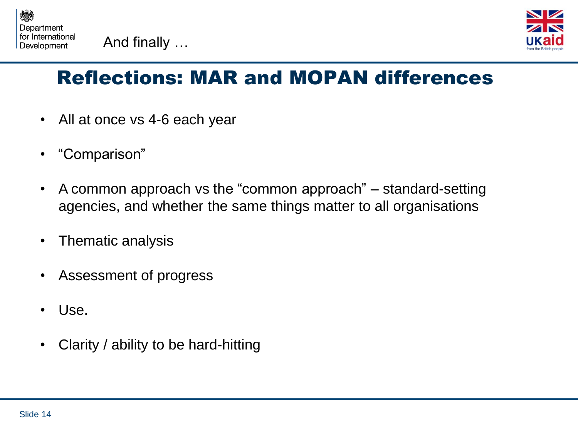



# Reflections: MAR and MOPAN differences

- All at once vs 4-6 each year
- "Comparison"
- A common approach vs the "common approach" standard-setting agencies, and whether the same things matter to all organisations
- Thematic analysis
- Assessment of progress
- Use.
- Clarity / ability to be hard-hitting